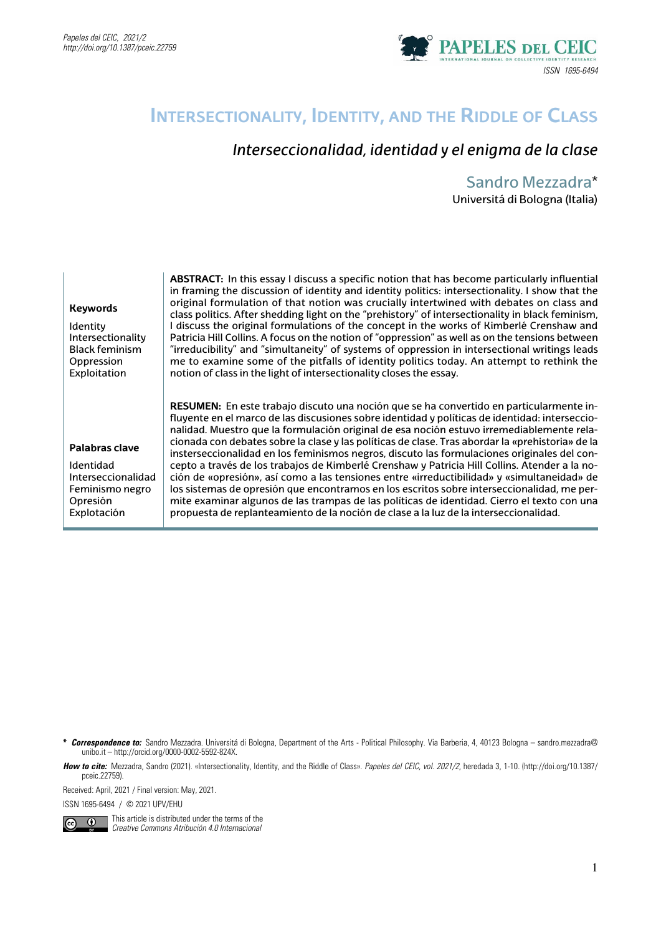

# **Intersectionality, Identity, and the Riddle of Class**

## *Interseccionalidad, identidad y el enigma de la clase*

#### Sandro Mezzadra\* Universitá di Bologna (Italia)

| <b>Keywords</b><br><b>Identity</b><br>Intersectionality<br><b>Black feminism</b><br>Oppression<br>Exploitation | <b>ABSTRACT:</b> In this essay I discuss a specific notion that has become particularly influential<br>in framing the discussion of identity and identity politics: intersectionality. I show that the<br>original formulation of that notion was crucially intertwined with debates on class and<br>class politics. After shedding light on the "prehistory" of intersectionality in black feminism,<br>I discuss the original formulations of the concept in the works of Kimberlé Crenshaw and<br>Patricia Hill Collins. A focus on the notion of "oppression" as well as on the tensions between<br>"irreducibility" and "simultaneity" of systems of oppression in intersectional writings leads<br>me to examine some of the pitfalls of identity politics today. An attempt to rethink the<br>notion of class in the light of intersectionality closes the essay.                                                                                                              |
|----------------------------------------------------------------------------------------------------------------|---------------------------------------------------------------------------------------------------------------------------------------------------------------------------------------------------------------------------------------------------------------------------------------------------------------------------------------------------------------------------------------------------------------------------------------------------------------------------------------------------------------------------------------------------------------------------------------------------------------------------------------------------------------------------------------------------------------------------------------------------------------------------------------------------------------------------------------------------------------------------------------------------------------------------------------------------------------------------------------|
| Palabras clave<br>Identidad<br>Interseccionalidad<br>Feminismo negro<br>Opresión<br>Explotación                | <b>RESUMEN:</b> En este trabajo discuto una noción que se ha convertido en particularmente in-<br>fluyente en el marco de las discusiones sobre identidad y políticas de identidad: interseccio-<br>nalidad. Muestro que la formulación original de esa noción estuvo irremediablemente rela-<br>cionada con debates sobre la clase y las políticas de clase. Tras abordar la «prehistoria» de la<br>insterseccionalidad en los feminismos negros, discuto las formulaciones originales del con-<br>cepto a través de los trabajos de Kimberlé Crenshaw y Patricia Hill Collins. Atender a la no-<br>ción de «opresión», así como a las tensiones entre «irreductibilidad» y «simultaneidad» de<br>los sistemas de opresión que encontramos en los escritos sobre interseccionalidad, me per-<br>mite examinar algunos de las trampas de las políticas de identidad. Cierro el texto con una<br>propuesta de replanteamiento de la noción de clase a la luz de la interseccionalidad. |

**\*** *Correspondence to:* Sandro Mezzadra. Universitá di Bologna, Department of the Arts - Political Philosophy. Via Barberia, 4, 40123 Bologna – sandro.mezzadra@ unibo.it – http://orcid.org/0000-0002-5592-824X.

How to cite: Mezzadra, Sandro (2021). «Intersectionality, Identity, and the Riddle of Class». Papeles del CEIC, vol. 2021/2, heredada 3, 1-10. (http://doi.org/10.1387/ pceic.22759).

Received: April, 2021 / Final version: May, 2021.

ISSN 1695-6494 / © 2021 UPV/EHU



This article is distributed under the terms of the *Creative Commons Atribución 4.0 Internacional*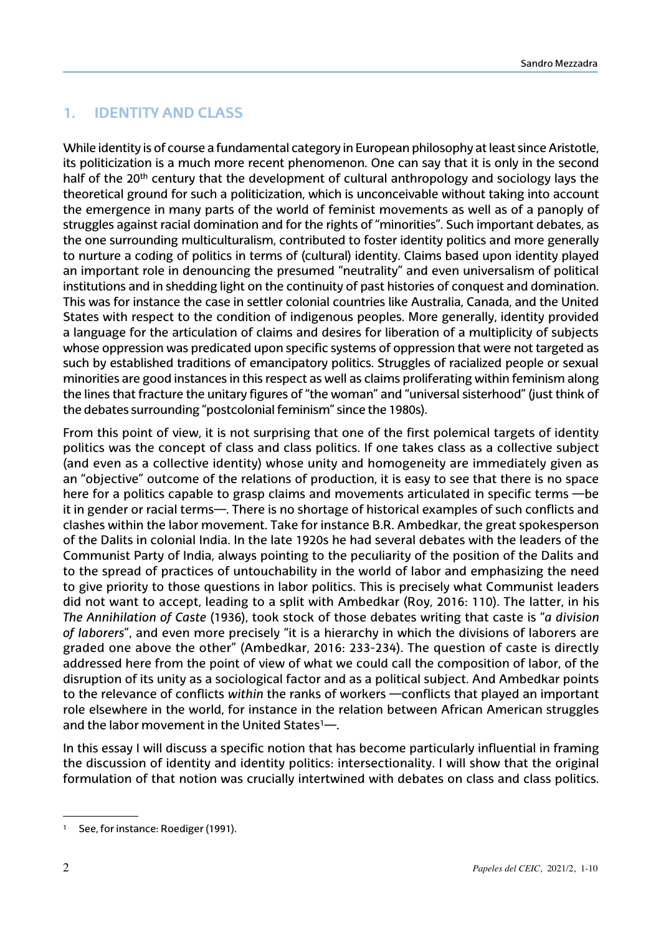## **1. Identity and class**

While identity is of course a fundamental category in European philosophy at least since Aristotle, its politicization is a much more recent phenomenon. One can say that it is only in the second half of the 20<sup>th</sup> century that the development of cultural anthropology and sociology lays the theoretical ground for such a politicization, which is unconceivable without taking into account the emergence in many parts of the world of feminist movements as well as of a panoply of struggles against racial domination and for the rights of "minorities". Such important debates, as the one surrounding multiculturalism, contributed to foster identity politics and more generally to nurture a coding of politics in terms of (cultural) identity. Claims based upon identity played an important role in denouncing the presumed "neutrality" and even universalism of political institutions and in shedding light on the continuity of past histories of conquest and domination. This was for instance the case in settler colonial countries like Australia, Canada, and the United States with respect to the condition of indigenous peoples. More generally, identity provided a language for the articulation of claims and desires for liberation of a multiplicity of subjects whose oppression was predicated upon specific systems of oppression that were not targeted as such by established traditions of emancipatory politics. Struggles of racialized people or sexual minorities are good instances in this respect as well as claims proliferating within feminism along the lines that fracture the unitary figures of "the woman" and "universal sisterhood" (just think of the debates surrounding "postcolonial feminism" since the 1980s).

From this point of view, it is not surprising that one of the first polemical targets of identity politics was the concept of class and class politics. If one takes class as a collective subject (and even as a collective identity) whose unity and homogeneity are immediately given as an "objective" outcome of the relations of production, it is easy to see that there is no space here for a politics capable to grasp claims and movements articulated in specific terms —be it in gender or racial terms—. There is no shortage of historical examples of such conflicts and clashes within the labor movement. Take for instance B.R. Ambedkar, the great spokesperson of the Dalits in colonial India. In the late 1920s he had several debates with the leaders of the Communist Party of India, always pointing to the peculiarity of the position of the Dalits and to the spread of practices of untouchability in the world of labor and emphasizing the need to give priority to those questions in labor politics. This is precisely what Communist leaders did not want to accept, leading to a split with Ambedkar (Roy, 2016: 110). The latter, in his *The Annihilation of Caste* (1936), took stock of those debates writing that caste is "*a division of laborers*", and even more precisely "it is a hierarchy in which the divisions of laborers are graded one above the other" (Ambedkar, 2016: 233-234). The question of caste is directly addressed here from the point of view of what we could call the composition of labor, of the disruption of its unity as a sociological factor and as a political subject. And Ambedkar points to the relevance of conflicts *within* the ranks of workers —conflicts that played an important role elsewhere in the world, for instance in the relation between African American struggles and the labor movement in the United States1—.

In this essay I will discuss a specific notion that has become particularly influential in framing the discussion of identity and identity politics: intersectionality. I will show that the original formulation of that notion was crucially intertwined with debates on class and class politics.

<sup>&</sup>lt;sup>1</sup> See, for instance: Roediger (1991).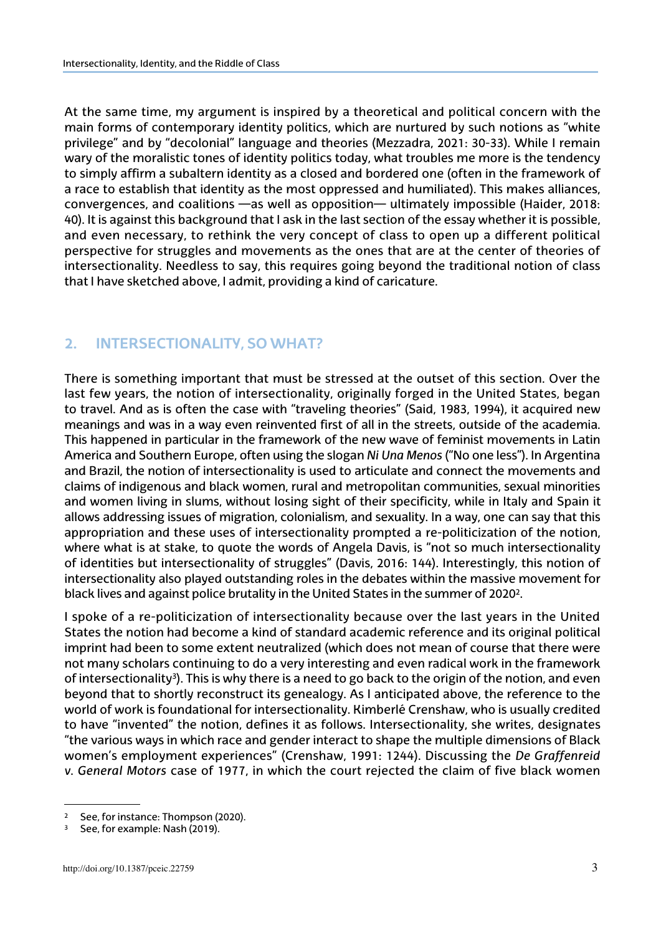At the same time, my argument is inspired by a theoretical and political concern with the main forms of contemporary identity politics, which are nurtured by such notions as "white privilege" and by "decolonial" language and theories (Mezzadra, 2021: 30-33). While I remain wary of the moralistic tones of identity politics today, what troubles me more is the tendency to simply affirm a subaltern identity as a closed and bordered one (often in the framework of a race to establish that identity as the most oppressed and humiliated). This makes alliances, convergences, and coalitions —as well as opposition— ultimately impossible (Haider, 2018: 40). It is against this background that I ask in the last section of the essay whether it is possible, and even necessary, to rethink the very concept of class to open up a different political perspective for struggles and movements as the ones that are at the center of theories of intersectionality. Needless to say, this requires going beyond the traditional notion of class that I have sketched above, I admit, providing a kind of caricature.

## **2. Intersectionality, so what?**

There is something important that must be stressed at the outset of this section. Over the last few years, the notion of intersectionality, originally forged in the United States, began to travel. And as is often the case with "traveling theories" (Said, 1983, 1994), it acquired new meanings and was in a way even reinvented first of all in the streets, outside of the academia. This happened in particular in the framework of the new wave of feminist movements in Latin America and Southern Europe, often using the slogan *Ni Una Menos* ("No one less"). In Argentina and Brazil, the notion of intersectionality is used to articulate and connect the movements and claims of indigenous and black women, rural and metropolitan communities, sexual minorities and women living in slums, without losing sight of their specificity, while in Italy and Spain it allows addressing issues of migration, colonialism, and sexuality. In a way, one can say that this appropriation and these uses of intersectionality prompted a re-politicization of the notion, where what is at stake, to quote the words of Angela Davis, is "not so much intersectionality of identities but intersectionality of struggles" (Davis, 2016: 144). Interestingly, this notion of intersectionality also played outstanding roles in the debates within the massive movement for black lives and against police brutality in the United States in the summer of 2020<sup>2</sup>.

I spoke of a re-politicization of intersectionality because over the last years in the United States the notion had become a kind of standard academic reference and its original political imprint had been to some extent neutralized (which does not mean of course that there were not many scholars continuing to do a very interesting and even radical work in the framework of intersectionality<sup>3</sup>). This is why there is a need to go back to the origin of the notion, and even beyond that to shortly reconstruct its genealogy. As I anticipated above, the reference to the world of work is foundational for intersectionality. Kimberlé Crenshaw, who is usually credited to have "invented" the notion, defines it as follows. Intersectionality, she writes, designates "the various ways in which race and gender interact to shape the multiple dimensions of Black women's employment experiences" (Crenshaw, 1991: 1244). Discussing the *De Graffenreid v. General Motors* case of 1977, in which the court rejected the claim of five black women

<sup>&</sup>lt;sup>2</sup> See, for instance: Thompson (2020).

See, for example: Nash (2019).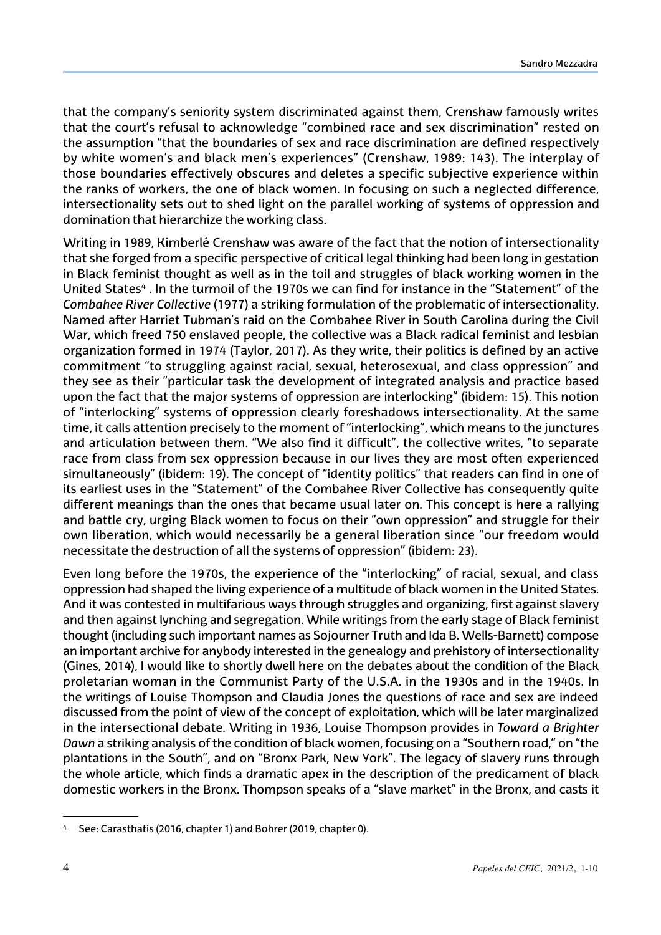that the company's seniority system discriminated against them, Crenshaw famously writes that the court's refusal to acknowledge "combined race and sex discrimination" rested on the assumption "that the boundaries of sex and race discrimination are defined respectively by white women's and black men's experiences" (Crenshaw, 1989: 143). The interplay of those boundaries effectively obscures and deletes a specific subjective experience within the ranks of workers, the one of black women. In focusing on such a neglected difference, intersectionality sets out to shed light on the parallel working of systems of oppression and domination that hierarchize the working class.

Writing in 1989, Kimberlé Crenshaw was aware of the fact that the notion of intersectionality that she forged from a specific perspective of critical legal thinking had been long in gestation in Black feminist thought as well as in the toil and struggles of black working women in the United States<sup>4</sup>. In the turmoil of the 1970s we can find for instance in the "Statement" of the *Combahee River Collective* (1977) a striking formulation of the problematic of intersectionality. Named after Harriet Tubman's raid on the Combahee River in South Carolina during the Civil War, which freed 750 enslaved people, the collective was a Black radical feminist and lesbian organization formed in 1974 (Taylor, 2017). As they write, their politics is defined by an active commitment "to struggling against racial, sexual, heterosexual, and class oppression" and they see as their "particular task the development of integrated analysis and practice based upon the fact that the major systems of oppression are interlocking" (ibidem: 15). This notion of "interlocking" systems of oppression clearly foreshadows intersectionality. At the same time, it calls attention precisely to the moment of "interlocking", which means to the junctures and articulation between them. "We also find it difficult", the collective writes, "to separate race from class from sex oppression because in our lives they are most often experienced simultaneously" (ibidem: 19). The concept of "identity politics" that readers can find in one of its earliest uses in the "Statement" of the Combahee River Collective has consequently quite different meanings than the ones that became usual later on. This concept is here a rallying and battle cry, urging Black women to focus on their "own oppression" and struggle for their own liberation, which would necessarily be a general liberation since "our freedom would necessitate the destruction of all the systems of oppression" (ibidem: 23).

Even long before the 1970s, the experience of the "interlocking" of racial, sexual, and class oppression had shaped the living experience of a multitude of black women in the United States. And it was contested in multifarious ways through struggles and organizing, first against slavery and then against lynching and segregation. While writings from the early stage of Black feminist thought (including such important names as Sojourner Truth and Ida B. Wells-Barnett) compose an important archive for anybody interested in the genealogy and prehistory of intersectionality (Gines, 2014), I would like to shortly dwell here on the debates about the condition of the Black proletarian woman in the Communist Party of the U.S.A. in the 1930s and in the 1940s. In the writings of Louise Thompson and Claudia Jones the questions of race and sex are indeed discussed from the point of view of the concept of exploitation, which will be later marginalized in the intersectional debate. Writing in 1936, Louise Thompson provides in *Toward a Brighter Dawn* a striking analysis of the condition of black women, focusing on a "Southern road," on "the plantations in the South", and on "Bronx Park, New York". The legacy of slavery runs through the whole article, which finds a dramatic apex in the description of the predicament of black domestic workers in the Bronx. Thompson speaks of a "slave market" in the Bronx, and casts it

See: Carasthatis (2016, chapter 1) and Bohrer (2019, chapter 0).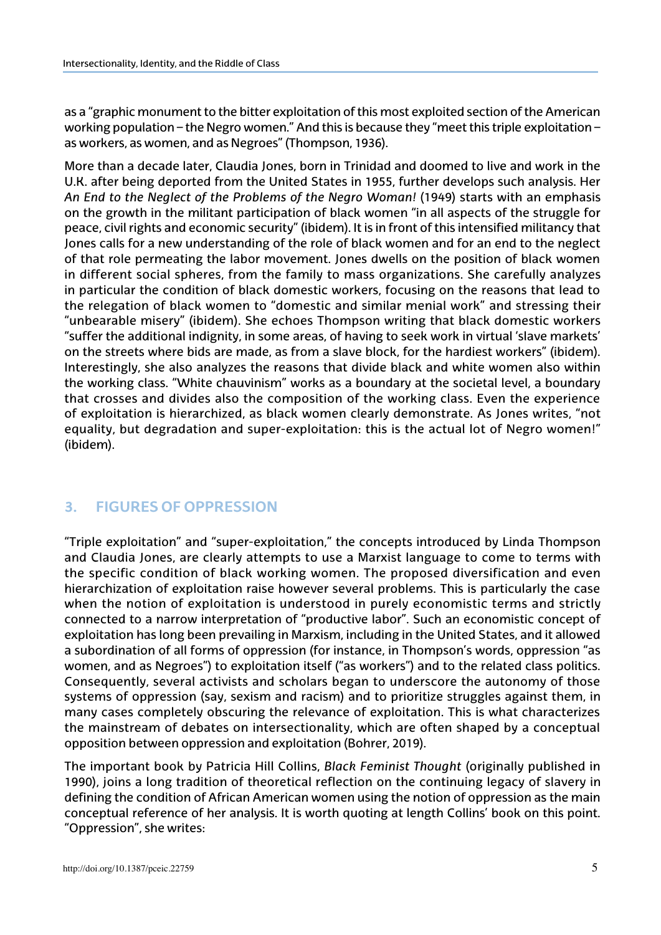as a "graphic monument to the bitter exploitation of this most exploited section of the American working population – the Negro women." And this is because they "meet this triple exploitation – as workers, as women, and as Negroes" (Thompson, 1936).

More than a decade later, Claudia Jones, born in Trinidad and doomed to live and work in the U.K. after being deported from the United States in 1955, further develops such analysis. Her *An End to the Neglect of the Problems of the Negro Woman!* (1949) starts with an emphasis on the growth in the militant participation of black women "in all aspects of the struggle for peace, civil rights and economic security" (ibidem). It is in front of this intensified militancy that Jones calls for a new understanding of the role of black women and for an end to the neglect of that role permeating the labor movement. Jones dwells on the position of black women in different social spheres, from the family to mass organizations. She carefully analyzes in particular the condition of black domestic workers, focusing on the reasons that lead to the relegation of black women to "domestic and similar menial work" and stressing their "unbearable misery" (ibidem). She echoes Thompson writing that black domestic workers "suffer the additional indignity, in some areas, of having to seek work in virtual 'slave markets' on the streets where bids are made, as from a slave block, for the hardiest workers" (ibidem). Interestingly, she also analyzes the reasons that divide black and white women also within the working class. "White chauvinism" works as a boundary at the societal level, a boundary that crosses and divides also the composition of the working class. Even the experience of exploitation is hierarchized, as black women clearly demonstrate. As Jones writes, "not equality, but degradation and super-exploitation: this is the actual lot of Negro women!" (ibidem).

## **3. Figures of oppression**

"Triple exploitation" and "super-exploitation," the concepts introduced by Linda Thompson and Claudia Jones, are clearly attempts to use a Marxist language to come to terms with the specific condition of black working women. The proposed diversification and even hierarchization of exploitation raise however several problems. This is particularly the case when the notion of exploitation is understood in purely economistic terms and strictly connected to a narrow interpretation of "productive labor". Such an economistic concept of exploitation has long been prevailing in Marxism, including in the United States, and it allowed a subordination of all forms of oppression (for instance, in Thompson's words, oppression "as women, and as Negroes") to exploitation itself ("as workers") and to the related class politics. Consequently, several activists and scholars began to underscore the autonomy of those systems of oppression (say, sexism and racism) and to prioritize struggles against them, in many cases completely obscuring the relevance of exploitation. This is what characterizes the mainstream of debates on intersectionality, which are often shaped by a conceptual opposition between oppression and exploitation (Bohrer, 2019).

The important book by Patricia Hill Collins, *Black Feminist Thought* (originally published in 1990), joins a long tradition of theoretical reflection on the continuing legacy of slavery in defining the condition of African American women using the notion of oppression as the main conceptual reference of her analysis. It is worth quoting at length Collins' book on this point. "Oppression", she writes: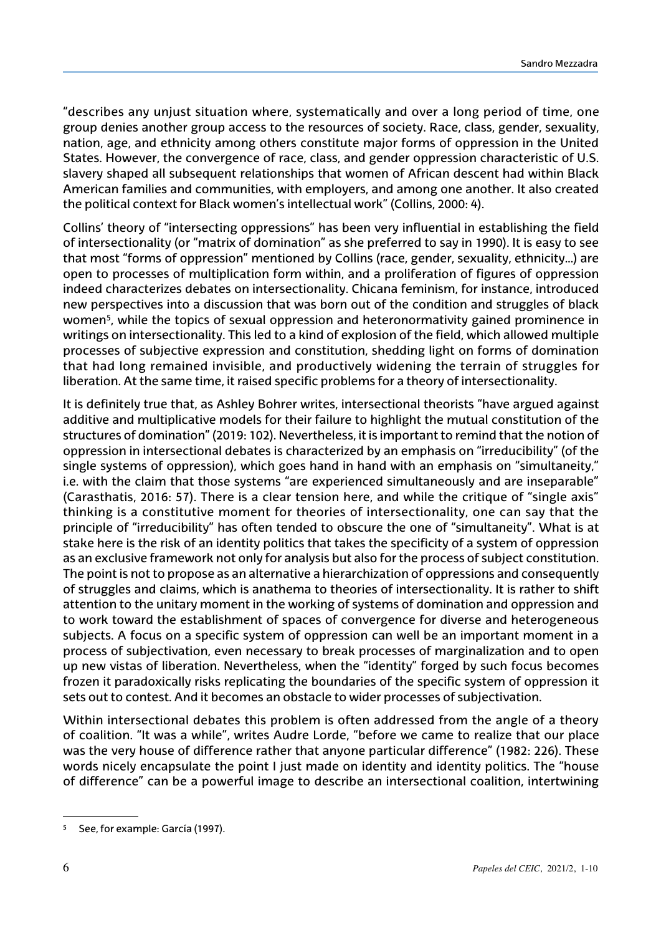"describes any unjust situation where, systematically and over a long period of time, one group denies another group access to the resources of society. Race, class, gender, sexuality, nation, age, and ethnicity among others constitute major forms of oppression in the United States. However, the convergence of race, class, and gender oppression characteristic of U.S. slavery shaped all subsequent relationships that women of African descent had within Black American families and communities, with employers, and among one another. It also created the political context for Black women's intellectual work" (Collins, 2000: 4).

Collins' theory of "intersecting oppressions" has been very influential in establishing the field of intersectionality (or "matrix of domination" as she preferred to say in 1990). It is easy to see that most "forms of oppression" mentioned by Collins (race, gender, sexuality, ethnicity…) are open to processes of multiplication form within, and a proliferation of figures of oppression indeed characterizes debates on intersectionality. Chicana feminism, for instance, introduced new perspectives into a discussion that was born out of the condition and struggles of black women<sup>5</sup>, while the topics of sexual oppression and heteronormativity gained prominence in writings on intersectionality. This led to a kind of explosion of the field, which allowed multiple processes of subjective expression and constitution, shedding light on forms of domination that had long remained invisible, and productively widening the terrain of struggles for liberation. At the same time, it raised specific problems for a theory of intersectionality.

It is definitely true that, as Ashley Bohrer writes, intersectional theorists "have argued against additive and multiplicative models for their failure to highlight the mutual constitution of the structures of domination" (2019: 102). Nevertheless, it is important to remind that the notion of oppression in intersectional debates is characterized by an emphasis on "irreducibility" (of the single systems of oppression), which goes hand in hand with an emphasis on "simultaneity," i.e. with the claim that those systems "are experienced simultaneously and are inseparable" (Carasthatis, 2016: 57). There is a clear tension here, and while the critique of "single axis" thinking is a constitutive moment for theories of intersectionality, one can say that the principle of "irreducibility" has often tended to obscure the one of "simultaneity". What is at stake here is the risk of an identity politics that takes the specificity of a system of oppression as an exclusive framework not only for analysis but also for the process of subject constitution. The point is not to propose as an alternative a hierarchization of oppressions and consequently of struggles and claims, which is anathema to theories of intersectionality. It is rather to shift attention to the unitary moment in the working of systems of domination and oppression and to work toward the establishment of spaces of convergence for diverse and heterogeneous subjects. A focus on a specific system of oppression can well be an important moment in a process of subjectivation, even necessary to break processes of marginalization and to open up new vistas of liberation. Nevertheless, when the "identity" forged by such focus becomes frozen it paradoxically risks replicating the boundaries of the specific system of oppression it sets out to contest. And it becomes an obstacle to wider processes of subjectivation.

Within intersectional debates this problem is often addressed from the angle of a theory of coalition. "It was a while", writes Audre Lorde, "before we came to realize that our place was the very house of difference rather that anyone particular difference" (1982: 226). These words nicely encapsulate the point I just made on identity and identity politics. The "house of difference" can be a powerful image to describe an intersectional coalition, intertwining

<sup>5</sup> See, for example: García (1997).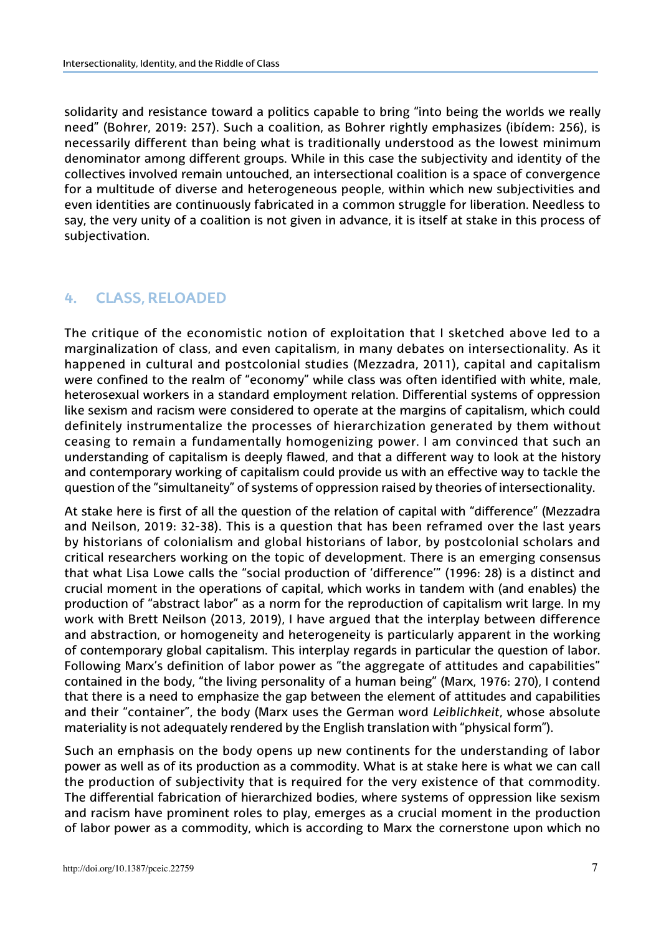solidarity and resistance toward a politics capable to bring "into being the worlds we really need" (Bohrer, 2019: 257). Such a coalition, as Bohrer rightly emphasizes (ibídem: 256), is necessarily different than being what is traditionally understood as the lowest minimum denominator among different groups. While in this case the subjectivity and identity of the collectives involved remain untouched, an intersectional coalition is a space of convergence for a multitude of diverse and heterogeneous people, within which new subjectivities and even identities are continuously fabricated in a common struggle for liberation. Needless to say, the very unity of a coalition is not given in advance, it is itself at stake in this process of subjectivation.

#### **4. Class, reloaded**

The critique of the economistic notion of exploitation that I sketched above led to a marginalization of class, and even capitalism, in many debates on intersectionality. As it happened in cultural and postcolonial studies (Mezzadra, 2011), capital and capitalism were confined to the realm of "economy" while class was often identified with white, male, heterosexual workers in a standard employment relation. Differential systems of oppression like sexism and racism were considered to operate at the margins of capitalism, which could definitely instrumentalize the processes of hierarchization generated by them without ceasing to remain a fundamentally homogenizing power. I am convinced that such an understanding of capitalism is deeply flawed, and that a different way to look at the history and contemporary working of capitalism could provide us with an effective way to tackle the question of the "simultaneity" of systems of oppression raised by theories of intersectionality.

At stake here is first of all the question of the relation of capital with "difference" (Mezzadra and Neilson, 2019: 32-38). This is a question that has been reframed over the last years by historians of colonialism and global historians of labor, by postcolonial scholars and critical researchers working on the topic of development. There is an emerging consensus that what Lisa Lowe calls the "social production of 'difference'" (1996: 28) is a distinct and crucial moment in the operations of capital, which works in tandem with (and enables) the production of "abstract labor" as a norm for the reproduction of capitalism writ large. In my work with Brett Neilson (2013, 2019), I have argued that the interplay between difference and abstraction, or homogeneity and heterogeneity is particularly apparent in the working of contemporary global capitalism. This interplay regards in particular the question of labor. Following Marx's definition of labor power as "the aggregate of attitudes and capabilities" contained in the body, "the living personality of a human being" (Marx, 1976: 270), I contend that there is a need to emphasize the gap between the element of attitudes and capabilities and their "container", the body (Marx uses the German word *Leiblichkeit*, whose absolute materiality is not adequately rendered by the English translation with "physical form").

Such an emphasis on the body opens up new continents for the understanding of labor power as well as of its production as a commodity. What is at stake here is what we can call the production of subjectivity that is required for the very existence of that commodity. The differential fabrication of hierarchized bodies, where systems of oppression like sexism and racism have prominent roles to play, emerges as a crucial moment in the production of labor power as a commodity, which is according to Marx the cornerstone upon which no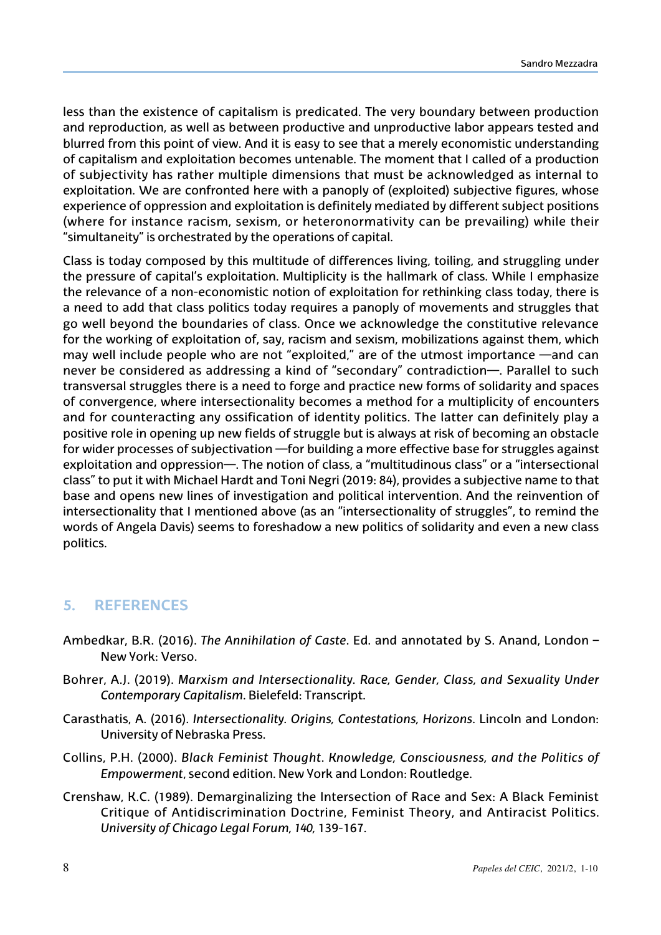less than the existence of capitalism is predicated. The very boundary between production and reproduction, as well as between productive and unproductive labor appears tested and blurred from this point of view. And it is easy to see that a merely economistic understanding of capitalism and exploitation becomes untenable. The moment that I called of a production of subjectivity has rather multiple dimensions that must be acknowledged as internal to exploitation. We are confronted here with a panoply of (exploited) subjective figures, whose experience of oppression and exploitation is definitely mediated by different subject positions (where for instance racism, sexism, or heteronormativity can be prevailing) while their "simultaneity" is orchestrated by the operations of capital.

Class is today composed by this multitude of differences living, toiling, and struggling under the pressure of capital's exploitation. Multiplicity is the hallmark of class. While I emphasize the relevance of a non-economistic notion of exploitation for rethinking class today, there is a need to add that class politics today requires a panoply of movements and struggles that go well beyond the boundaries of class. Once we acknowledge the constitutive relevance for the working of exploitation of, say, racism and sexism, mobilizations against them, which may well include people who are not "exploited," are of the utmost importance —and can never be considered as addressing a kind of "secondary" contradiction—. Parallel to such transversal struggles there is a need to forge and practice new forms of solidarity and spaces of convergence, where intersectionality becomes a method for a multiplicity of encounters and for counteracting any ossification of identity politics. The latter can definitely play a positive role in opening up new fields of struggle but is always at risk of becoming an obstacle for wider processes of subjectivation —for building a more effective base for struggles against exploitation and oppression—. The notion of class, a "multitudinous class" or a "intersectional class" to put it with Michael Hardt and Toni Negri (2019: 84), provides a subjective name to that base and opens new lines of investigation and political intervention. And the reinvention of intersectionality that I mentioned above (as an "intersectionality of struggles", to remind the words of Angela Davis) seems to foreshadow a new politics of solidarity and even a new class politics.

## **5. References**

- Ambedkar, B.R. (2016). *The Annihilation of Caste*. Ed. and annotated by S. Anand, London New York: Verso.
- Bohrer, A.J. (2019). *Marxism and Intersectionality. Race, Gender, Class, and Sexuality Under Contemporary Capitalism*. Bielefeld: Transcript.
- Carasthatis, A. (2016). *Intersectionality. Origins, Contestations, Horizons*. Lincoln and London: University of Nebraska Press.
- Collins, P.H. (2000). *Black Feminist Thought*. *Knowledge, Consciousness, and the Politics of Empowerment*, second edition. New York and London: Routledge.
- Crenshaw, K.C. (1989). Demarginalizing the Intersection of Race and Sex: A Black Feminist Critique of Antidiscrimination Doctrine, Feminist Theory, and Antiracist Politics. *University of Chicago Legal Forum, 140,* 139-167.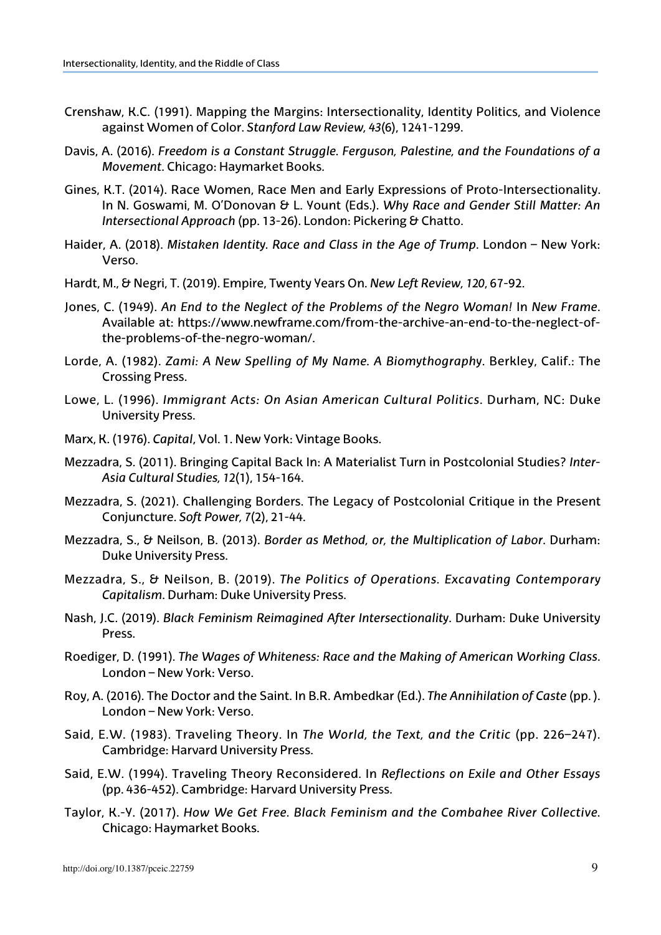- Crenshaw, K.C. (1991). Mapping the Margins: Intersectionality, Identity Politics, and Violence against Women of Color. *Stanford Law Review, 43*(6), 1241-1299.
- Davis, A. (2016). *Freedom is a Constant Struggle. Ferguson, Palestine, and the Foundations of a Movement*. Chicago: Haymarket Books.
- Gines, K.T. (2014). Race Women, Race Men and Early Expressions of Proto-Intersectionality. In N. Goswami, M. O'Donovan & L. Yount (Eds.). *Why Race and Gender Still Matter: An Intersectional Approach (pp. 13-26). London: Pickering & Chatto.*
- Haider, A. (2018). *Mistaken Identity. Race and Class in the Age of Trump*. London New York: Verso.
- Hardt, M., & Negri, T. (2019). Empire, Twenty Years On. *New Left Review, 120*, 67-92.
- Jones, C. (1949). *An End to the Neglect of the Problems of the Negro Woman!* In *New Frame*. Available at: https://www.newframe.com/from-the-archive-an-end-to-the-neglect-ofthe-problems-of-the-negro-woman/.
- Lorde, A. (1982). *Zami: A New Spelling of My Name. A Biomythography*. Berkley, Calif.: The Crossing Press.
- Lowe, L. (1996). *Immigrant Acts: On Asian American Cultural Politics*. Durham, NC: Duke University Press.
- Marx, K. (1976). *Capital*, Vol. 1. New York: Vintage Books.
- Mezzadra, S. (2011). Bringing Capital Back In: A Materialist Turn in Postcolonial Studies? *Inter-Asia Cultural Studies, 12*(1), 154-164.
- Mezzadra, S. (2021). Challenging Borders. The Legacy of Postcolonial Critique in the Present Conjuncture. *Soft Power, 7*(2), 21-44.
- Mezzadra, S., & Neilson, B. (2013). *Border as Method, or, the Multiplication of Labor*. Durham: Duke University Press.
- Mezzadra, S., & Neilson, B. (2019). *The Politics of Operations. Excavating Contemporary Capitalism*. Durham: Duke University Press.
- Nash, J.C. (2019). *Black Feminism Reimagined After Intersectionality*. Durham: Duke University Press.
- Roediger, D. (1991). *The Wages of Whiteness: Race and the Making of American Working Class*. London – New York: Verso.
- Roy, A. (2016). The Doctor and the Saint. In B.R. Ambedkar (Ed.). *The Annihilation of Caste* (pp. ). London – New York: Verso.
- Said, E.W. (1983). Traveling Theory. In *The World, the Text, and the Critic* (pp. 226–247). Cambridge: Harvard University Press.
- Said, E.W. (1994). Traveling Theory Reconsidered. In *Reflections on Exile and Other Essays*  (pp. 436-452). Cambridge: Harvard University Press.
- Taylor, K.-Y. (2017). *How We Get Free. Black Feminism and the Combahee River Collective.* Chicago: Haymarket Books.